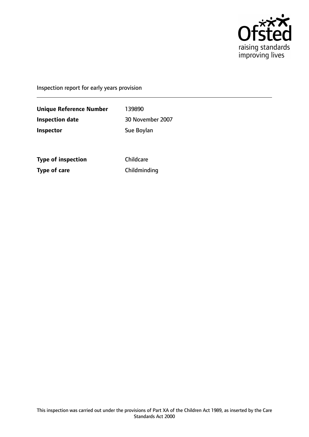

Inspection report for early years provision

**Unique Reference Number** 139890 **Inspection date** 30 November 2007 **Inspector** Sue Boylan

**Type of inspection** Childcare **Type of care** Childminding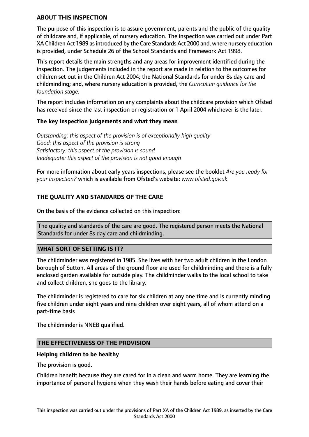### **ABOUT THIS INSPECTION**

The purpose of this inspection is to assure government, parents and the public of the quality of childcare and, if applicable, of nursery education. The inspection was carried out under Part XA Children Act 1989 asintroduced by the Care Standards Act 2000 and, where nursery education is provided, under Schedule 26 of the School Standards and Framework Act 1998.

This report details the main strengths and any areas for improvement identified during the inspection. The judgements included in the report are made in relation to the outcomes for children set out in the Children Act 2004; the National Standards for under 8s day care and childminding; and, where nursery education is provided, the *Curriculum guidance for the foundation stage.*

The report includes information on any complaints about the childcare provision which Ofsted has received since the last inspection or registration or 1 April 2004 whichever is the later.

## **The key inspection judgements and what they mean**

*Outstanding: this aspect of the provision is of exceptionally high quality Good: this aspect of the provision is strong Satisfactory: this aspect of the provision is sound Inadequate: this aspect of the provision is not good enough*

For more information about early years inspections, please see the booklet *Are you ready for your inspection?* which is available from Ofsted's website: *www.ofsted.gov.uk.*

# **THE QUALITY AND STANDARDS OF THE CARE**

On the basis of the evidence collected on this inspection:

The quality and standards of the care are good. The registered person meets the National Standards for under 8s day care and childminding.

### **WHAT SORT OF SETTING IS IT?**

The childminder was registered in 1985. She lives with her two adult children in the London borough of Sutton. All areas of the ground floor are used for childminding and there is a fully enclosed garden available for outside play. The childminder walks to the local school to take and collect children, she goes to the library.

The childminder is registered to care for six children at any one time and is currently minding five children under eight years and nine children over eight years, all of whom attend on a part-time basis

The childminder is NNEB qualified.

### **THE EFFECTIVENESS OF THE PROVISION**

### **Helping children to be healthy**

The provision is good.

Children benefit because they are cared for in a clean and warm home. They are learning the importance of personal hygiene when they wash their hands before eating and cover their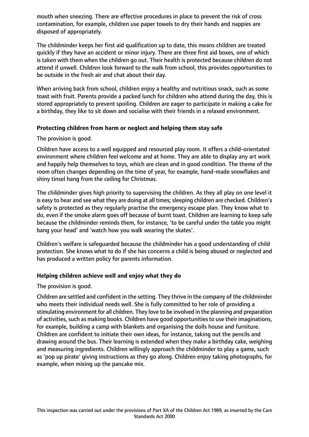mouth when sneezing. There are effective procedures in place to prevent the risk of cross contamination, for example, children use paper towels to dry their hands and nappies are disposed of appropriately.

The childminder keeps her first aid qualification up to date, this means children are treated quickly if they have an accident or minor injury. There are three first aid boxes, one of which is taken with them when the children go out. Their health is protected because children do not attend if unwell. Children look forward to the walk from school, this provides opportunities to be outside in the fresh air and chat about their day.

When arriving back from school, children enjoy a healthy and nutritious snack, such as some toast with fruit. Parents provide a packed lunch for children who attend during the day, this is stored appropriately to prevent spoiling. Children are eager to participate in making a cake for a birthday, they like to sit down and socialise with their friends in a relaxed environment.

## **Protecting children from harm or neglect and helping them stay safe**

The provision is good.

Children have access to a well equipped and resourced play room. It offers a child-orientated environment where children feel welcome and at home. They are able to display any art work and happily help themselves to toys, which are clean and in good condition. The theme of the room often changes depending on the time of year, for example, hand-made snowflakes and shiny tinsel hang from the ceiling for Christmas.

The childminder gives high priority to supervising the children. As they all play on one level it is easy to hear and see what they are doing at all times; sleeping children are checked. Children's safety is protected as they regularly practise the emergency escape plan. They know what to do, even if the smoke alarm goes off because of burnt toast. Children are learning to keep safe because the childminder reminds them, for instance, 'to be careful under the table you might bang your head' and 'watch how you walk wearing the skates'.

Children's welfare is safeguarded because the childminder has a good understanding of child protection. She knows what to do if she has concerns a child is being abused or neglected and has produced a written policy for parents information.

## **Helping children achieve well and enjoy what they do**

The provision is good.

Children are settled and confident in the setting. They thrive in the company of the childminder who meets their individual needs well. She is fully committed to her role of providing a stimulating environment for all children. They love to be involved in the planning and preparation of activities, such as making books. Children have good opportunities to use their imaginations, for example, building a camp with blankets and organising the dolls house and furniture. Children are confident to initiate their own ideas, for instance, taking out the pencils and drawing around the bus. Their learning is extended when they make a birthday cake, weighing and measuring ingredients. Children willingly approach the childminder to play a game, such as 'pop up pirate' giving instructions as they go along. Children enjoy taking photographs, for example, when mixing up the pancake mix.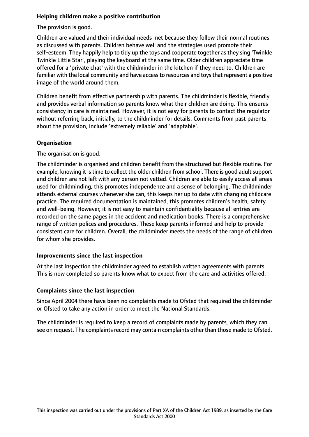# **Helping children make a positive contribution**

The provision is good.

Children are valued and their individual needs met because they follow their normal routines as discussed with parents. Children behave well and the strategies used promote their self-esteem. They happily help to tidy up the toys and cooperate together as they sing 'Twinkle Twinkle Little Star', playing the keyboard at the same time. Older children appreciate time offered for a 'private chat' with the childminder in the kitchen if they need to. Children are familiar with the local community and have access to resources and toys that represent a positive image of the world around them.

Children benefit from effective partnership with parents. The childminder is flexible, friendly and provides verbal information so parents know what their children are doing. This ensures consistency in care is maintained. However, it is not easy for parents to contact the regulator without referring back, initially, to the childminder for details. Comments from past parents about the provision, include 'extremely reliable' and 'adaptable'.

# **Organisation**

The organisation is good.

The childminder is organised and children benefit from the structured but flexible routine. For example, knowing it is time to collect the older children from school. There is good adult support and children are not left with any person not vetted. Children are able to easily access all areas used for childminding, this promotes independence and a sense of belonging. The childminder attends external courses whenever she can, this keeps her up to date with changing childcare practice. The required documentation is maintained, this promotes children's health, safety and well-being. However, it is not easy to maintain confidentiality because all entries are recorded on the same pages in the accident and medication books. There is a comprehensive range of written polices and procedures. These keep parents informed and help to provide consistent care for children. Overall, the childminder meets the needs of the range of children for whom she provides.

## **Improvements since the last inspection**

At the last inspection the childminder agreed to establish written agreements with parents. This is now completed so parents know what to expect from the care and activities offered.

## **Complaints since the last inspection**

Since April 2004 there have been no complaints made to Ofsted that required the childminder or Ofsted to take any action in order to meet the National Standards.

The childminder is required to keep a record of complaints made by parents, which they can see on request. The complaints record may contain complaints other than those made to Ofsted.